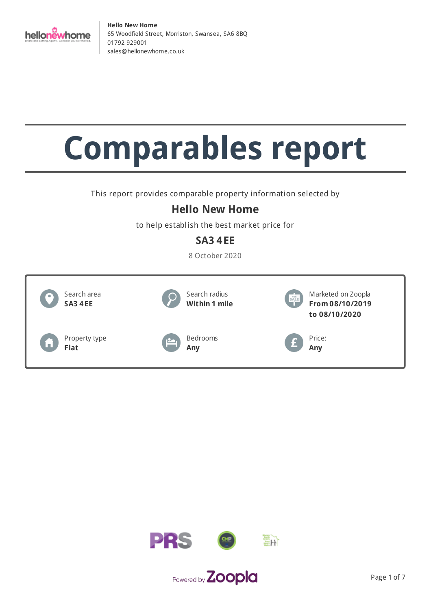

# **Comparables report**

This report provides comparable property information selected by

## **Hello New Home**

to help establish the best market price for

## **SA3 4EE**

8 October 2020



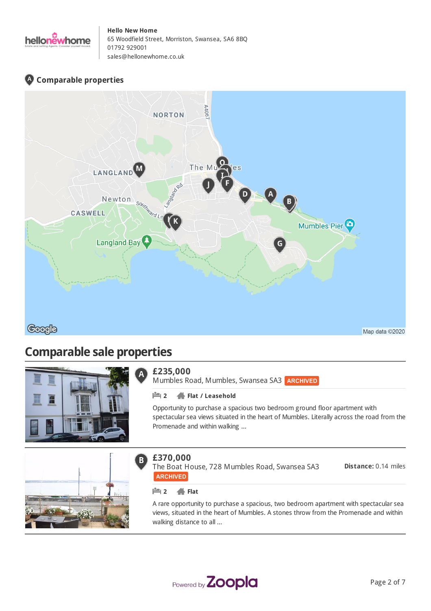

## **Comparable properties**



## **Comparable sale properties**



## **£235,000**

Mumbles Road, Mumbles, Swansea SA3 ARCHIVED

#### **2 Flat / Leasehold**

Opportunity to purchase a spacious two bedroom ground floor apartment with spectacular sea views situated in the heart of Mumbles. Literally across the road from the Promenade and within walking ...



## **£370,000**

 $\mathbf{B}$  )

The Boat House, 728 Mumbles Road, Swansea SA3 **ARCHIVED** 

**Distance:** 0.14 miles

#### **2 Flat**

A rare opportunity to purchase a spacious, two bedroom apartment with spectacular sea views, situated in the heart of Mumbles. A stones throw from the Promenade and within walking distance to all ...

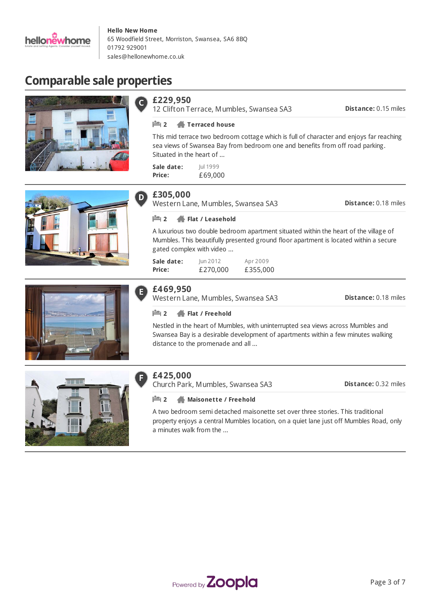

# **Comparable sale properties**







## **Sale date: Price:** A luxurious two double bedroom apartment situated within the heart of the village of Mumbles. This beautifully presented ground floor apartment is located within a secure gated complex with video ...

# **£469,950**

**Sale date: Price:**

**£305,000**

D)

**£229,950**

Western Lane, Mumbles, Swansea SA3

Jun 2012 £270,000

Jul 1999 £69,000

Western Lane, Mumbles, Swansea SA3

**2 Terraced house**

Situated in the heart of ...

**2 Flat / Leasehold**

12 Clifton Terrace, Mumbles, Swansea SA3

**Distance:** 0.18 miles

**Distance:** 0.15 miles

**Distance:** 0.18 miles

#### **2 Flat / Freehold**

Nestled in the heart of Mumbles, with uninterrupted sea views across Mumbles and Swansea Bay is a desirable development of apartments within a few minutes walking distance to the promenade and all ...

This mid terrace two bedroom cottage which is full of character and enjoys far reaching sea views of Swansea Bay from bedroom one and benefits from off road parking.

> Apr 2009 £355,000



#### **£425,000** E)

Church Park, Mumbles, Swansea SA3

**Distance:** 0.32 miles

#### **2 Maisonette / Freehold**

A two bedroom semi detached maisonette set over three stories. This traditional property enjoys a central Mumbles location, on a quiet lane just off Mumbles Road, only a minutes walk from the ...

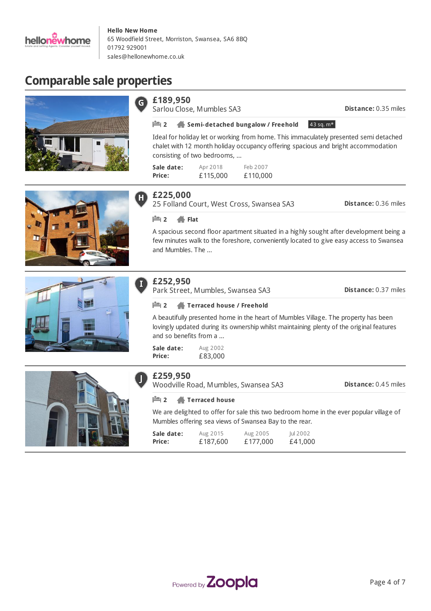

# **Comparable sale properties**

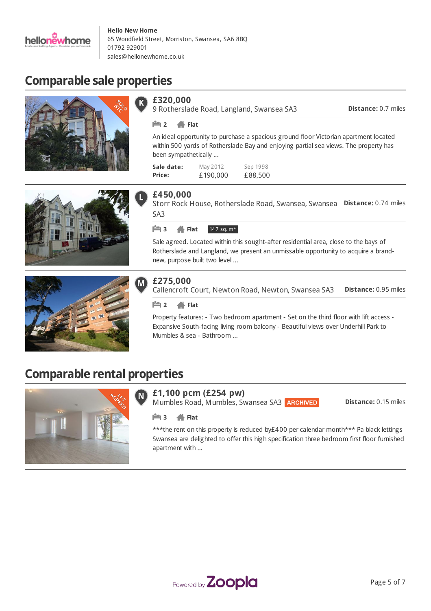

**£320,000**

**2 Flat**

been sympathetically ...

# **Comparable sale properties**







## **£450,000**

**Sale date: Price:**

Storr Rock House, Rotherslade Road, Swansea, Swansea Distance: 0.74 miles SA3

An ideal opportunity to purchase a spacious ground floor Victorian apartment located within 500 yards of Rotherslade Bay and enjoying partial sea views. The property has

> Sep 1998 £88,500

**3 Flat**  $\sqrt{147 \text{ sq. m*}}$ 

May 2012 £190,000

9 Rotherslade Road, Langland, Swansea SA3

Sale agreed. Located within this sought-after residential area, close to the bays of Rotherslade and Langland, we present an unmissable opportunity to acquire a brandnew, purpose built two level ...

## **£275,000**

M

**Distance:** 0.95 miles Callencroft Court, Newton Road, Newton, Swansea SA3

#### **2 Flat**

Property features: - Two bedroom apartment - Set on the third floor with lift access - Expansive South-facing living room balcony - Beautiful views over Underhill Park to Mumbles & sea - Bathroom ...

# **Comparable rental properties**



#### **£1,100 pcm (£254 pw)** N

Mumbles Road, Mumbles, Swansea SA3 ARCHIVED

**Distance:** 0.15 miles

**Distance:** 0.7 miles

#### **3 Flat**

\*\*\* the rent on this property is reduced by £400 per calendar month\*\*\* Pa black lettings Swansea are delighted to offer this high specification three bedroom first floor furnished apartment with ...

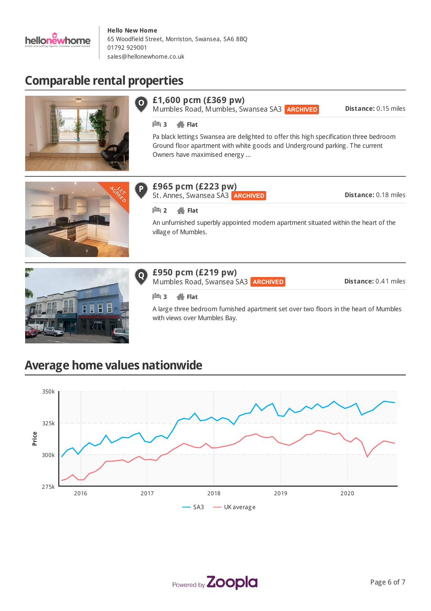

# **Comparable rental properties**



## **£1,600 pcm (£369 pw)**

Mumbles Road, Mumbles, Swansea SA3 ARCHIVED

**Distance:** 0.15 miles

**3 Flat**

 $\overline{\mathbf{o}}$ 

Pa black lettings Swansea are delighted to offer this high specification three bedroom Ground floor apartment with white goods and Underground parking. The current Owners have maximised energy ...



## **£965 pcm (£223 pw)**

St. Annes, Swansea SA3 **ARCHIVED** 

**Distance:** 0.18 miles

#### **2 Flat**

An unfurnished superbly appointed modern apartment situated within the heart of the village of Mumbles.



#### **£950 pcm (£219 pw)**  $\overline{Q}$

Mumbles Road, Swansea SA3 ARCHIVED

**Distance:** 0.41 miles

### **3 Flat**

A large three bedroom furnished apartment set over two floors in the heart of Mumbles with views over Mumbles Bay.

# **Average home values nationwide**



SA3 - UK average